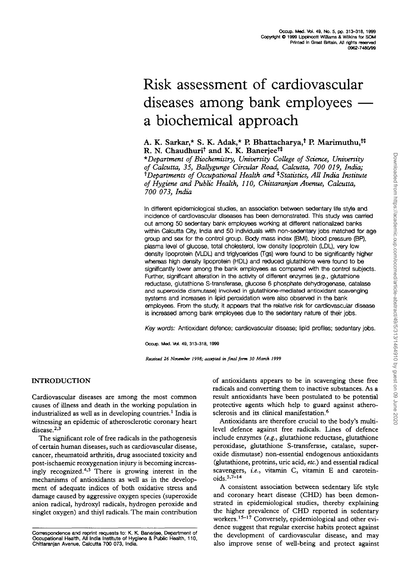# Risk assessment of cardiovascular diseases among bank employees a biochemical approach

## **A. K. Sarkar,\* S. K. Adak,\* P. Bhattacharya,\* P. Marimuthu,\*\* R. N. Chaudhurit and K. K. Banerjeet\***

*\* Department of Biochemistry, University College of Science, University of Calcutta, 35, BaUygunge Circular Road, Calcutta, 700 019, India; ^Departments of Occupational Health and ^Statistics, All India Institute of Hygiene and Public Health, 110, Chittaranjan Avenue, Calcutta, 700 073, India*

In different epidemiological studies, an association between sedentary life style and incidence of cardiovascular diseases has been demonstrated. This study was carried out among 50 sedentary bank employees working at different nationalized banks within Calcutta City, India and 50 individuals with non-sedentary jobs matched for age group and sex for the control group. Body mass index (BMI), blood pressure (BP), plasma level of glucose, total cholesterol, low density lipoprotein (LDL), very low density lipoprotein (VLDL) and trigtycerides (Tgs) were found to be significantly higher whereas high density lipoprotein (HDL) and reduced glutathione were found to be significantly lower among the bank employees as compared with the control subjects. Further, significant alteration in the activity of different enzymes (e.g., glutathione reductase, glutathione S-transferase, glucose 6 phosphate dehydrogenase, catalase and superoxide dismutase) involved in glutathione-mediated antioxidant scavenging systems and increases in lipid peroxidation were also observed in the bank employees. From the study, it appears that the relative risk for cardiovascular disease is increased among bank employees due to the sedentary nature of their jobs.

Key words: Antioxidant defence; cardiovascular disease; lipid profiles; sedentary jobs.

**Occup. Med. Vol. 49, 313-318, 1999**

*Received 26 November 1998; acctpud m final form 30 March 1999*

## **INTRODUCTION**

Cardiovascular diseases are among the most common causes of illness and death in the working population in industrialized as well as in developing countries.' India is witnessing an epidemic of atherosclerotic coronary heart disease.<sup>2,3</sup>

The significant role of free radicals in the pathogenesis of certain human diseases, such as cardiovascular disease, cancer, rheumatoid arthritis, drug associated toxicity and post-ischaemic reoxygenation injury is becoming increasingly recognized.<sup>4,5</sup> There is growing interest in the mechanisms of antioxidants as well as in the development of adequate indices of both oxidative stress and damage caused by aggressive oxygen species (superoxide anion radical, hydroxyl radicals, hydrogen peroxide and singlet oxygen) and thiyl radicals. The main contribution of antioxidants appears to be in scavenging these free radicals and converting them to inactive substances. As a result antioxidants have been postulated to be potential protective agents which help to guard against atherosclerosis and its clinical manifestation.<sup>6</sup>

Antioxidants are therefore crucial to the body's multilevel defence against free radicals. Lines of defence include enzymes *(e.g.,* glutathione reductase, glutathione peroxidase, glutathione S-transferase, catalase, superoxide dismutase) non-essential endogenous antioxidants (glutathione, proteins, uric acid, *etc.)* and essential radical scavengers, *i.e.,* vitamin C, vitamin E and carotein $oids.$ <sup>5,7–14</sup>

A consistent association between sedentary life style and coronary heart disease (CHD) has been demonstrated in epidemiological studies, thereby explaining the higher prevalence of CHD reported in sedentary workers.<sup>15-17</sup> Conversely, epidemiological and other evidence suggest that regular exercise habits protect against the development of cardiovascular disease, and may also improve sense of well-being and protect against

Correspondence and reprint requests to: K. K. Banerjee, Department of Occupational Health, All India Institute of Hygiene & Public Hearth, 110, Chittaranjan Avenue, Calcutta 700 073, India.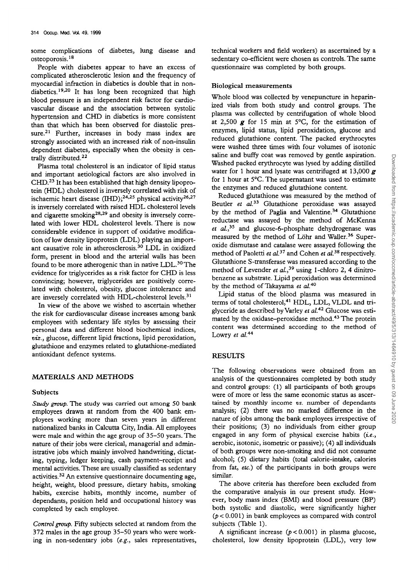some complications of diabetes, lung disease and osteoporosis.<sup>18</sup>

People with diabetes appear to have an excess of complicated atherosclerotic lesion and the frequency of myocardial infraction in diabetics is double that in nondiabetics.<sup>19,20</sup> It has long been recognized that high blood pressure is an independent risk factor for cardiovascular disease and the association between systolic hypertension and CHD in diabetics is more consistent than that which has been observed for diastolic pressure.<sup>21</sup> Further, increases in body mass index are strongly associated with an increased risk of non-insulin dependent diabetes, especially when the obesity is centrally distributed.<sup>22</sup>

Plasma total cholesterol is an indicator of lipid status and important aetiological factors are also involved in CHD.<sup>23</sup> It has been established that high density lipoprotein (HDL) cholesterol is inversely correlated with risk of ischaemic heart disease (IHD);<sup>24,25</sup> physical activity<sup>26,27</sup> is inversely correlated with raised HDL cholesterol levels and cigarette smoking<sup>28,29</sup> and obesity is inversely correlated with lower HDL cholesterol levels. There is now considerable evidence in support of oxidative modification of low density lipoprotein (LDL) playing an important causative role in atherosclerosis.<sup>30</sup> LDL in oxidized form, present in blood and the arterial walls has been found to be more atherogenic than in native LDL.<sup>30</sup>The evidence for triglycerides as a risk factor for CHD is less convincing; however, triglycerides are positively correlated with cholesterol, obesity, glucose intolerance and are inversely correlated with HDL-cholesterol levels.<sup>31</sup>

In view of the above we wished to ascertain whether the risk for cardiovascular disease increases among bank employees with sedentary life styles by assessing their personal data and different blood biochemical indices, *viz.,* glucose, different lipid fractions, lipid peroxidation, glutathione and enzymes related to glutathione-mediated antioxidant defence systems.

#### **MATERIALS AND METHODS**

#### **Subjects**

*Study group.* The study was carried out among 50 bank employees drawn at random from the 400 bank employees working more than seven years in different nationalized banks in Calcutta City, India. All employees were male and within the age group of 35—50 years. The nature of their jobs were clerical, managerial and administrative jobs which mainly involved handwriting, dictating, typing, ledger keeping, cash payment-receipt and mental activities. These are usually classified as sedentary activities.<sup>32</sup> An extensive questionnaire documenting age, height, weight, blood pressure, dietary habits, smoking habits, exercise habits, monthly income, number of dependants, position held and occupational history was completed by each employee.

*Control group.* Fifty subjects selected at random from the 372 males in the age group 35-50 years who were working in non-sedentary jobs *(e.g.,* sales representatives, technical workers and field workers) as ascertained by a sedentary co-efficient were chosen as controls. The same questionnaire was completed by both groups.

#### **Biological measurements**

Whole blood was collected by venepuncture in heparinized vials from both study and control groups. The plasma was collected by centrifugation of whole blood at 2,500 *g* for 15 min at 5°C, for the estimation of enzymes, lipid status, lipid peroxidation, glucose and reduced glutathione content. The packed erythrocytes were washed three times with four volumes of isotonic saline and buffy coat was removed by gentle aspiration. Washed packed erythrocyte was lysed by adding distilled water for 1 hour and lysate was centrifuged at 13,000 *g* for 1 hour at 5°C. The supernatant was used to estimate the enzymes and reduced glutathione content

Reduced glutathione was measured by the method of Beutler *et al.<sup>33</sup>* Glutathione peroxidase was assayed by the method of Paglia and Valentine.<sup>34</sup> Glutathione reductase was assayed by the method of McKenna *et* a/.,<sup>35</sup> and glucose-6-phosphate dehydrogenase was measured by the method of Löhr and Waller.<sup>36</sup> Superoxide dismutase and catalase were assayed following the method of Paoletti *et al.<sup>37</sup>* and Cohen *et al.3S* respectively. Glutathione S-transferase was measured according to the method of Levender *et al.,<sup>39</sup>* using 1-chloro 2, 4 dinitrobenzene as substrate. Lipid peroxidation was determined by the method of Takayama *et al.<sup>40</sup>*

Lipid status of the blood plasma was measured in terms of total cholesterol,<sup>41</sup> HDL, LDL, VLDL and triglyceride as described by Varley *et al.<sup>42</sup>* Glucose was estimated by the oxidase-peroxidase method.<sup>43</sup> The protein content was determined according to the method of Lowry *et al.<sup>44</sup>*

#### **RESULTS**

The following observations were obtained from an analysis of the questionnaires completed by both study and control groups: (1) all participants of both groups were of more or less the same economic status as ascertained by monthly income *vs.* number of dependants analysis; (2) there was no marked difference in the nature of jobs among the bank employees irrespective of their positions; (3) no individuals from either group engaged in any form of physical exercise habits *(i.e.,* aerobic, isotonic, isometric or passive); (4) all individuals of both groups were non-smoking and did not consume alcohol; (5) dietary habits (total calorie-intake, calories from fat, *etc.)* of the participants in both groups were similar.

The above criteria has therefore been excluded from the comparative analysis in our present study. However, body mass index (BMI) and blood pressure (BP) both systolic and diastolic, were significantly higher *(p<* 0.001) in bank employees as compared with control subjects (Table 1).

A significant increase *(p<* 0.001) in plasma glucose, cholesterol, low density lipoprotein (LDL), very low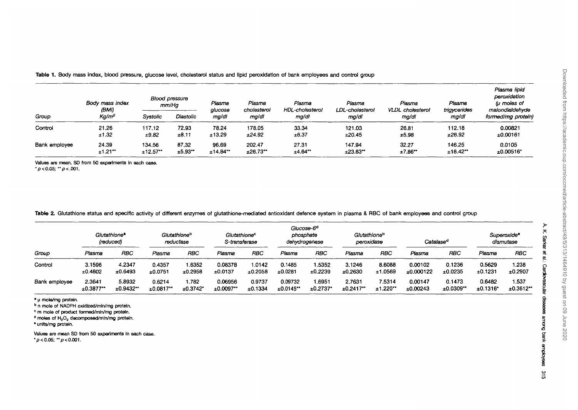| Group         | Body mass index<br>(BMI)<br>Ka/m <sup>2</sup> | Blood pressure<br>mm/Ha<br>Diastolic<br>Systolic |                              | Plasma<br>glucose<br>mg/di                | Plasma<br>cholesterol<br>mg/dl             | Plasma<br>HDL-cholesterol<br>ma/dl      | Plasma<br>LDL-cholesterol<br>mg/dl         | Plasma<br>VLDL cholesterol<br>ma/di | Plasma<br>trigycerides<br>mg/dl            | Plasma lipid<br>peroxidation<br>(u moles of<br>malondialdehvde<br>formed/mg protein) |  |
|---------------|-----------------------------------------------|--------------------------------------------------|------------------------------|-------------------------------------------|--------------------------------------------|-----------------------------------------|--------------------------------------------|-------------------------------------|--------------------------------------------|--------------------------------------------------------------------------------------|--|
| Control       | 21.26                                         | 117.12                                           | 72.93                        | 78.24                                     | 178.05                                     | 33.34                                   | 121.03                                     | 26.81                               | 112.18                                     | 0.00821                                                                              |  |
| Bank employee | ±1.32<br>24.39<br>$±1.21$ <sup>**</sup>       | ±9.82<br>134.56<br>$±12.57$ <sup>**</sup>        | ±8.11<br>87.32<br>$±5.93$ ** | ±13.29<br>96.69<br>$±14.84$ <sup>**</sup> | ±24.92<br>202.47<br>$±26.73$ <sup>**</sup> | ±6.37<br>27.31<br>$±4.64$ <sup>**</sup> | ±20.45<br>147.94<br>$±23.83$ <sup>**</sup> | ±5.98<br>32.27<br>$±7.86$ **        | ±26.92<br>146.25<br>$±18.42$ <sup>**</sup> | ±0.00161<br>0.0105<br>$±0.00516*$                                                    |  |

**Table 1.** Body mass index, blood pressure, glucose level, cholesterol status and llpid peroxidation of bank employees and control group

**values are mean, SO from 50 experiments In each case.**

**\*p<0.05; "p<.001.**

**Table 2.** Glutathlone status and specific activity of different enzymes of glutathione-mediated antioxidant defence system in plasma & RBC of bank employees and control group

|               | Glutathione <sup>®</sup><br>(reduced) |                         | Glutathione <sup>b</sup><br>reductase |             | Glutathione <sup>c</sup><br>S-transferase |         | Glucose-6 <sup>d</sup><br>phosphate<br>dehydrogenase |         | Glutathioneb<br>peroxidase |             | Catalase <sup>d</sup> |                         | Superoxide <sup>®</sup><br>dismutase |             |
|---------------|---------------------------------------|-------------------------|---------------------------------------|-------------|-------------------------------------------|---------|------------------------------------------------------|---------|----------------------------|-------------|-----------------------|-------------------------|--------------------------------------|-------------|
| Group         | Plasma                                | RBC                     | Plasma                                | RBC         | Plasma                                    | RBC     | Plasma                                               | RBC     | Plasma                     | RBC         | Plasma                | RBC                     | Plasma                               | RBC         |
| Control       | 3.1596                                | 4.2347                  | 0.4357                                | 1.6352      | 0.08378                                   | .0142   | 0.1485                                               | .5352   | 3.1246                     | 8.6088      | 0.00102               | 0.1236                  | 0.5629                               | 1.238       |
|               | ±0.4802                               | ±0.6493                 | ±0.0751                               | ±0.2958     | ±0.0137                                   | ±0.2058 | ±0.0281                                              | ±0.2239 | ±0.2630                    | ±1.0569     | ±0.000122             | ±0.0235                 | ±0.1231                              | ±0.2907     |
| Bank employee | 2.3641                                | 5.8932                  | 0.6214                                | 1.782       | 0.06956                                   | 0.9737  | 0.09732                                              | .6951   | 2.7631                     | 7.5314      | 0.00147               | 0.1473                  | 0.6482                               | 1.537       |
|               | $±0.3877$ **                          | $±0.9432$ <sup>**</sup> | ±0.0817"                              | $±0.3742$ * | $±0.0097$ <sup>**</sup>                   | ±0.1334 | $±0.0145$ **                                         | ±0.2737 | $±0.2417$ <sup>**</sup>    | $±1.220$ ** | ±0.00243              | $±0.0309$ <sup>**</sup> | $±0.1316$ <sup>*</sup>               | $±0.3612**$ |

**\* u mole/mg protein.**

**b** n mole of NADPH oxidized/mln/mg protein.

**c m mote of product formed/min/mo, protein.**

<sup>d</sup> moles of H<sub>2</sub>O<sub>2</sub> decomposed/min/mg protein.

**• unlts/mg protein.**

**Values are mean SO from 50 experiments In each case. \*p<0.05; "p<0.001.**

A. K. Sarka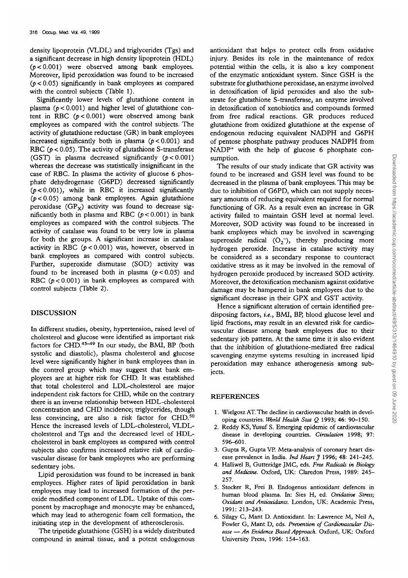density lipoprotein (VLDL) and triglycerides (Tgs) and a significant decrease in high density lipoprotein (HDL) *(p<*0.001) were observed among bank employees. Moreover, lipid peroxidation was found to be increased *(p <* 0.05) significantly in bank employees as compared with the control subjects (Table 1).

Significantly lower levels of glutathione content in plasma *(p<* 0.001) and higher level of glutathione content in RBC  $(p < 0.001)$  were observed among bank employees as compared with the control subjects. The activity of glutathione reductase (GR) in bank employees increased significantly both in plasma *(p<* 0.001) and RBC *(p <* 0.05). The activity of glutathione S-transferase (GST) in plasma decreased significantly  $(p < 0.001)$ whereas the decrease was statistically insignificant in the case of RBC. In plasma the activity of glucose 6 phosphate dehydrogenase (G6PD) decreased significantly  $(p < 0.001)$ , while in RBC it increased significantly  $(p < 0.05)$  among bank employees. Again glutathione peroxidase  $(GP_X)$  activity was found to decrease significantly both in plasma and RBC ( $p < 0.001$ ) in bank employees as compared with the control subjects. The activity of catalase was found to be very low in plasma for both the groups. A significant increase in catalase activity in RBC *(p<*0.001) was, however, observed in bank employees as compared with control subjects. Further, superoxide dismutase (SOD) activity was found to be increased both in plasma ( $p < 0.05$ ) and RBC ( $p < 0.001$ ) in bank employees as compared with control subjects (Table 2).

### DISCUSSION

In different studies, obesity, hypertension, raised level of cholesterol and glucose were identified as important risk factors for CHD.<sup>45-49</sup> In our study, the BMI, BP (both systolic and diastolic), plasma cholesterol and glucose level were significantly higher in bank employees than in the control group which may suggest that bank employees are at higher risk for CHD. It was established that total cholesterol and LDL-cholesterol are major independent risk factors for CHD, while on the contrary there is an inverse relationship between HDL-cholesterol concentration and CHD incidence; triglycerides, though less convincing, are also a risk factor for CHD.<sup>50</sup> Hence the increased levels of LDL-cholesterol, VLDLcholesterol and Tgs and the decreased level of HDLcholesterol in bank employees as compared with control subjects also confirms increased relative risk of cardiovascular disease for bank employees who are performing sedentary jobs.

Lipid peroxidation was found to be increased in bank employees. Higher rates of lipid peroxidation in bank employees may lead to increased formation of the peroxide modified component of LDL. Uptake of this component by macrophage and monocyte may be enhanced, which may lead to atherogenic foam cell formation, the initiating step in the development of atherosclerosis.

The tripetide glutathione (GSH) is a widely distributed compound in animal tissue, and a potent endogenous antioxidant that helps to protect cells from oxidative injury. Besides its role in the maintenance of redox potential within the cells, it is also a key component of the enzymatic antioxidant system. Since GSH is the substrate for gluthathione peroxidase, an enzyme involved in detoxification of lipid peroxides and also the substrate for glutathione S-transferase, an enzyme involved in detoxification of xenobiotics and compounds formed from free radical reactions. GR produces reduced glutathione from oxidized glutathione at the expense of endogenous reducing equivalent NADPH and G6PH of pentose phosphate pathway produces NADPH from NADP<sup>+</sup> with the help of glucose 6 phosphate consumption.

The results of our study indicate that GR activity was found to be increased and GSH level was found to be decreased in the plasma of bank employees. This may be due to inhibition of G6PD, which can not supply necessary amounts of reducing equivalent required for normal functioning of GR. As a result even an increase in GR activity failed to maintain GSH level at normal level. Moreover, SOD activity was found to be increased in bank employees which may be involved in scavenging superoxide radical  $(O_2^-)$ , thereby producing more hydrogen peroxide. Increase in catalase activity may be considered as a secondary response to counteract oxidative stress as it may be involved in the removal of hydrogen peroxide produced by increased SOD activity. Moreover, the detoxification mechanism against oxidative damage may be hampered in bank employees due to the significant decrease in their GPX and GST activity.

Hence a significant alteration of certain identified predisposing factors, i.e., BMI, BP, blood glucose level and lipid fractions, may result in an elevated risk for cardiovascular disease among bank employees due to their sedentary job pattern. At the same time it is also evident that the inhibition of glutathione-mediated free radical scavenging enzyme systems resulting in increased lipid peroxidation may enhance atherogenesis among subjects.

## REFERENCES

- 1. Wielgosz AT. The decline in cardiovascular health in developing countries. *World Health Stat Q* 1993; 46: 90-150.
- 2. Reddy KS, Yusuf S. Emerging epidemic of cardiovascular disease in developing countries. *Circulation* 1998; 97: 596-601.
- 3. Gupta R, Gupta VP. Meta-analysis of coronary heart disease prevalence in India. *Ind Heart J* 1996; 48: 241-245.
- 4. Halliwel B, Gutteridge JMC, eds. *Free Radicals in Biology and Medicine.* Oxford, UK: Claredon Press, 1989: 245- 257.
- 5. Stocker R, Frei B. Endogenus antioxidant defences in human blood plasma. In: Sies H, ed. *Oxidative Stress; Oxidant and Antioxidants.* London, UK: Academic Press, 1991: 213-243.
- 6. Silagy C, Mant D. Antioxidant. In: Lawrence M, Neil A, Fowler G, Mant D, eds. *Prevention of Cardiovascular Disease* — *An Evidence Based Approach.* Oxford, UK: Oxford University Press, 1996: 154-163.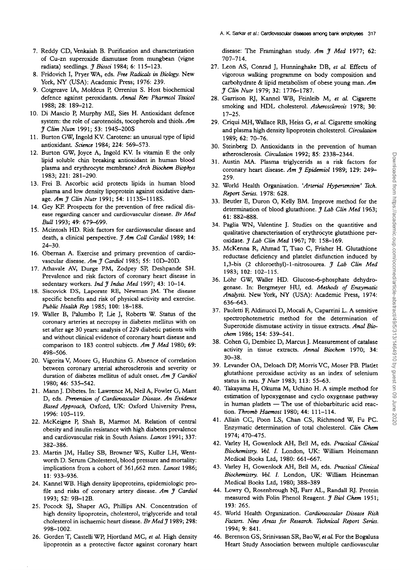Downloaded from https://academic.oup.com/occmed/article-abstract/49/5/313/1464910 by guest on 09 June 2020 Downloaded from https://academic.oup.com/occmed/article-abstract/49/5/313/1464910 by guest on 09 June 2020

- 7. Reddy CD, Venkaiah B. Purification and characterization of Cu-zn superoxide dismutase from mungbean (vigne radiata) seedlings. *J Biosd* 1984; 6: 115-123.
- 8. Fridovich I, Pryer WA, eds. *Free Radicals in Biology.* New York, NY (USA): Academic Press; 1976: 239.
- 9. Cotgreave IA, Moldeus P, Orrenius S. Host biochemical defence against peroxidants. *Annal Rev Pharmcol Toxicol* 1988; 28: 189-212.
- 10. Di Mascio P, Murphy ME, Sies H. Antioxidant defence system: the role of carotenoids, tocopherols and thiols. *Am J Clim Nutn* 1991; 53: 194S-200S
- 11. Burton GW, Ingold KV. Carotene: an unusual type of lipid antioxidant. *Science* 1984; 224: 569-573.
- 12. Burton GW, Joyce A, Ingold KV. Is vitamin E the only lipid soluble chin breaking antioxidant in human blood plasma and erythrocyte membrane? *Arch Biochem Biophys* 1983; 221: 281-290.
- 13. Frei B. Ascorbic acid protects lipids in human blood plasma and low density lipoprotein against oxidative damage. *Am J Clin Nutr* 1991; 54: 1113S-1118S.
- 14. Gey KF. Prospects for the prevention of free radical disease regarding cancer and cardiovascular disease. *Br Med Bull* 1993; 49: 679-699.
- 15. Mcintosh HD. Risk factors for cardiovascular disease and death, a clinical perspective. *J Am Coll Cardiol* 1989; 14: 24-30.
- 16. Obernan A. Exercise and primary prevention of cardiovascular disease. *Am J Cardiol* 1985; 55: 10D-20D.
- 17. Athavale AV, Durge PM, Zodpey SP, Deshpande SH. Prevalence and risk factors of coronary heart disease in sedentary workers. *Ind J Indus Med* 1997; 43: 10-14.
- 18. Siscovick DS, Laporate RE, Newman JM. The disease specific benefits and risk of physical activity and exercise. *Public Health Rep* 1985; 100: 18-188.
- 19. Waller B, Palumbo P, Lie J, Roberts W. Status of the coronary arteries at necropsy in diabetes mellitus with on set after age 30 years: analysis of 229 diabetic patients with and without clinical evidence of coronary heart disease and comparison to 183 control subjects. *Am J Med* 1980; 69: 498-506.
- 20. Vigorita V, Moore G, Hutchins G. Absence of correlation between coronary arterial atherosclerosis and severity or duration of diabetes mellitus of adult onset *Am J Cardiol* 1980; 46: 535-542.
- 21. Mann J. Dibetes. In: Lawrence M, Neil A, Fowler G, Mant D, eds. *Prevention of Cardiovascular Disease. An Evidence Based Approach,* Oxford, UK: Oxford University Press, 1996: 105-119.
- 22. McKeigne P, Shah B, Marmot M. Relation of central obesity and insulin resistance with high diabetes prevalence and cardiovascular risk in South Asians. *Lancet* 1991; 337: 382-386.
- 23. Martin JM, Halley SB, Browner WS, Kuller LH, Wentworth D. Serum Cholesterol, blood pressure and mortality: implications from a cohort of 361,662 men. *Lancet* 1986; 11: 933-936.
- 24. Kannel WB. High density lipoproteins, epidemiologic profile and risks of coronary artery disease. *Am J Cardiol* 1993; 52: 9B-12B.
- 25. Pocock SJ, Shaper AG, Phillips AN. Concentration of high density lipoprotein, cholesterol, triglyceride and total cholesterol in ischaemic heart disease. *BrMedJ* 1989; 298: 998-1002.
- 26. Gorden T, Castelli WP, Hjortiand MC, *et al.* High density lipoprotein as a protective factor against coronary heart

disease: The Framinghan study. *Am J Med* 1977; 62: 707-714.

- 27. Leon AS, Conrad J, Hunninghake DB, *et al.* Effects of vigorous walking programme on body composition and carbohydrate & lipid metabolism of obese young man. *Am J Clin Nutr* 1979; 32: 1776-1787.
- 28. Garrison RJ, Kannel WB, Feinleib M, *et al.* Cigarette smoking and HDL cholesterol. *Atherosclerosis* 1978; 30: 17-25.
- 29. Criqui MH, Wallace RB, Heiss G, *et al.* Cigarette smoking and plasma high density lipoprotein cholesterol. *Circulation* 1989; 62: 70-76.
- 30. Steinberg D. Antioxidants in the prevention of human atherosclerosis. *Circulation* 1992; 85: 2338-2344.
- 31. Austin MA. Plasma triglycerids as a risk factors for coronary heart disease. *Am J Epidemiol* 1989; 129: 249- 259.
- 32. World Health Organisation. *'Arterial Hypertension' Tech. Report Series.* 1978: 628.
- 33. Beutler E, Duron O, Kelly BM. Improve method for the determination of blood glutathione. *J Lab Clin Med* 1963; 61: 882-888.
- 34. Paglia WN, Valentine J. Studies on the quantitive and qualitative characterisation of erythrocyte glutathione peroxidase. *J Lab Clin Med* 1967; 70: 158-169.
- 35. McKenna R, Ahmad T, Tsao C, Frisher H. Glutathione reductase deficiency and platelet disfunction induced by 1,3-bis (2 chloroethyl)-l-nitrosourea. *J Lab Clin Med* 1983; 102: 102-115.
- 36. Lohr GW, Waller HD. Glucose-6-phosphate dehydrogenase. In: Bergmeyer HU, ed. *Methods of Enzymatic Analysis.* New York, NY (USA): Academic Press, 1974: 636-643.
- 37. Paoletti F, Aldinucci D, Mocali A, Caparrini L. A sensitive spectrophotemetric method for the determination of Superoxide dismutase activity in tissue extracts. *Anal Biochem* 1986; 154: 539-541.
- 38. Cohen G, Dembiec D, Marcus J. Measurement of catalase activity in tissue extracts. *Annal Biochem* 1970; 34: 30-38.
- 39. Levander OA, Deloach DP, Morris VC, Moser PB. Platlet glutathione peroxidase activity as an index of selenium status in rats. *J Nutr* 1983; 113: 55-63.
- 40. Takayama H, Okuma M, Uchino H. A simple method for estimation of lypoxygenase and cyclo oxygenase pathway in human platlets — The use of thiobarbituric acid reaction. *Thromb Haemost* 1980; 44: 111-114.
- 41. Allain CC, Poon LS, Chan CS, Richmond W, Fu PC. Enzymatic determination of total cholesterol. *Clin Chem* 1974; 470-475.
- 42. Varlcy H, Gowenlock AH, Bell M, eds. *Practical Clinical Biochemistry. Vbl. I.* London, UK: William Heinemann Medical Books Ltd, 1980: 661-667.
- 43. Varley H, Gowenlock AH, Bell M, eds. *Practical Clinical Biochemistry. VoL I.* London, UK: William Heineman Medical Books Ltd, 1980; 388-389
- 44. Lowry O, Rosenbrough NJ, Farr AL, Randall RJ. Protein measured with Folin Phenol Reagent. *J Biol Chem* 1951; 193: 265.
- 45. World Health Organization. *Cardiovascular Disease Risk Factors. New Areas for Research. Technical Report Series.* 1994; 9: 841.
- 46. Berenson GS, Srinivasan SR, Bao W, *et al* For the Bogalusa Heart Study Association between multiple cardiovascular